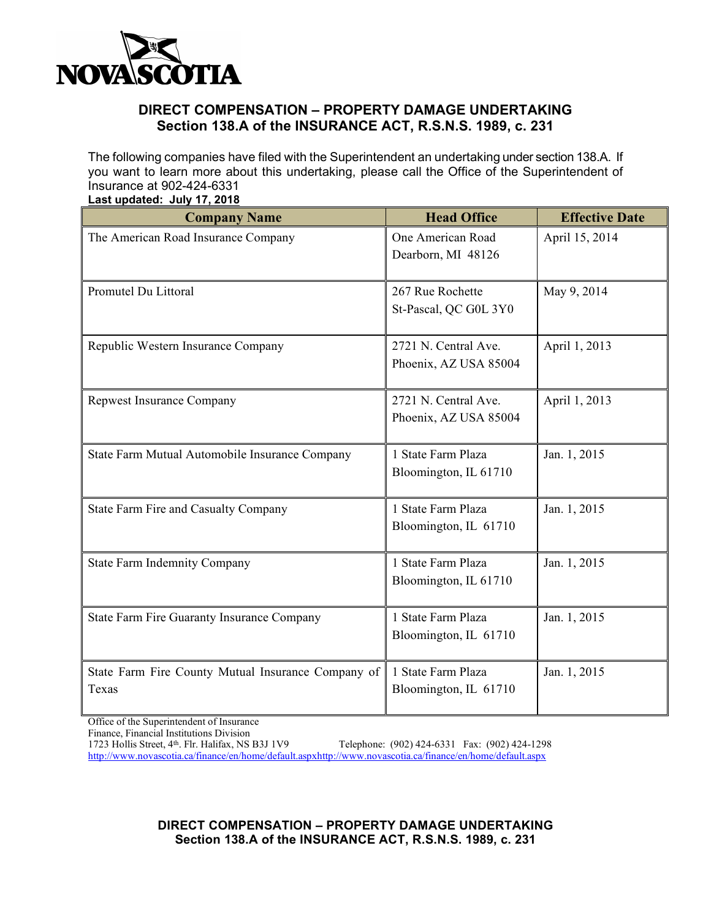

### **DIRECT COMPENSATION – PROPERTY DAMAGE UNDERTAKING Section 138.A of the INSURANCE ACT, R.S.N.S. 1989, c. 231**

The following companies have filed with the Superintendent an undertaking under section 138.A. If you want to learn more about this undertaking, please call the Office of the Superintendent of Insurance at 902-424-6331 **Last updated: July 17, 2018**

| -ast apaatea. valvult 2016<br><b>Company Name</b>           | <b>Head Office</b>                            | <b>Effective Date</b> |
|-------------------------------------------------------------|-----------------------------------------------|-----------------------|
| The American Road Insurance Company                         | One American Road<br>Dearborn, MI 48126       | April 15, 2014        |
| Promutel Du Littoral                                        | 267 Rue Rochette<br>St-Pascal, QC G0L 3Y0     | May 9, 2014           |
| Republic Western Insurance Company                          | 2721 N. Central Ave.<br>Phoenix, AZ USA 85004 | April 1, 2013         |
| Repwest Insurance Company                                   | 2721 N. Central Ave.<br>Phoenix, AZ USA 85004 | April 1, 2013         |
| State Farm Mutual Automobile Insurance Company              | 1 State Farm Plaza<br>Bloomington, IL 61710   | Jan. 1, 2015          |
| State Farm Fire and Casualty Company                        | 1 State Farm Plaza<br>Bloomington, IL 61710   | Jan. 1, 2015          |
| <b>State Farm Indemnity Company</b>                         | 1 State Farm Plaza<br>Bloomington, IL 61710   | Jan. 1, 2015          |
| State Farm Fire Guaranty Insurance Company                  | 1 State Farm Plaza<br>Bloomington, IL 61710   | Jan. 1, 2015          |
| State Farm Fire County Mutual Insurance Company of<br>Texas | 1 State Farm Plaza<br>Bloomington, IL 61710   | Jan. 1, 2015          |

Office of the Superintendent of Insurance

Finance, Financial Institutions Division

1723 Hollis Street, 4th. Flr. Halifax, NS B3J 1V9 Telephone: (902) 424-6331 Fax: (902) 424-1298 http://www.novascotia.ca/finance/en/home/default.aspxhttp://www.novascotia.ca/finance/en/home/default.aspx

> **DIRECT COMPENSATION – PROPERTY DAMAGE UNDERTAKING Section 138.A of the INSURANCE ACT, R.S.N.S. 1989, c. 231**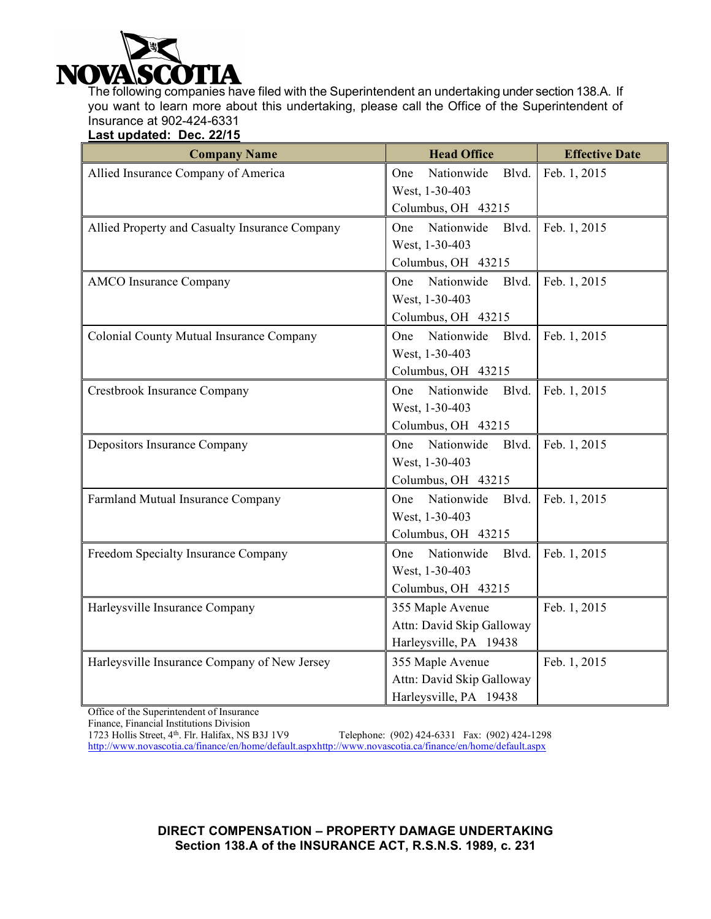

The following companies have filed with the Superintendent an undertaking under section 138.A. If you want to learn more about this undertaking, please call the Office of the Superintendent of Insurance at 902-424-6331

**Last updated: Dec. 22/15**

| <b>Company Name</b>                            | <b>Head Office</b>         | <b>Effective Date</b> |
|------------------------------------------------|----------------------------|-----------------------|
| Allied Insurance Company of America            | Nationwide<br>Blvd.<br>One | Feb. 1, 2015          |
|                                                | West, 1-30-403             |                       |
|                                                | Columbus, OH 43215         |                       |
| Allied Property and Casualty Insurance Company | Nationwide<br>Blvd.<br>One | Feb. 1, 2015          |
|                                                | West, 1-30-403             |                       |
|                                                | Columbus, OH 43215         |                       |
| <b>AMCO</b> Insurance Company                  | Nationwide<br>One<br>Blvd. | Feb. 1, 2015          |
|                                                | West, 1-30-403             |                       |
|                                                | Columbus, OH 43215         |                       |
| Colonial County Mutual Insurance Company       | Nationwide<br>Blvd.<br>One | Feb. 1, 2015          |
|                                                | West, 1-30-403             |                       |
|                                                | Columbus, OH 43215         |                       |
| Crestbrook Insurance Company                   | One Nationwide<br>Blvd.    | Feb. 1, 2015          |
|                                                | West, 1-30-403             |                       |
|                                                | Columbus, OH 43215         |                       |
| Depositors Insurance Company                   | Nationwide<br>One<br>Blvd. | Feb. 1, 2015          |
|                                                | West, 1-30-403             |                       |
|                                                | Columbus, OH 43215         |                       |
| Farmland Mutual Insurance Company              | Nationwide<br>Blvd.<br>One | Feb. 1, 2015          |
|                                                | West, 1-30-403             |                       |
|                                                | Columbus, OH 43215         |                       |
| Freedom Specialty Insurance Company            | Nationwide<br>One<br>Blvd. | Feb. 1, 2015          |
|                                                | West, 1-30-403             |                       |
|                                                | Columbus, OH 43215         |                       |
| Harleysville Insurance Company                 | 355 Maple Avenue           | Feb. 1, 2015          |
|                                                | Attn: David Skip Galloway  |                       |
|                                                | Harleysville, PA 19438     |                       |
| Harleysville Insurance Company of New Jersey   | 355 Maple Avenue           | Feb. 1, 2015          |
|                                                | Attn: David Skip Galloway  |                       |
|                                                | Harleysville, PA 19438     |                       |

Office of the Superintendent of Insurance

Finance, Financial Institutions Division<br>1723 Hollis Street, 4<sup>th</sup>. Flr. Halifax, NS B3J 1V9

Telephone: (902) 424-6331 Fax: (902) 424-1298 http://www.novascotia.ca/finance/en/home/default.aspxhttp://www.novascotia.ca/finance/en/home/default.aspx

> **DIRECT COMPENSATION – PROPERTY DAMAGE UNDERTAKING Section 138.A of the INSURANCE ACT, R.S.N.S. 1989, c. 231**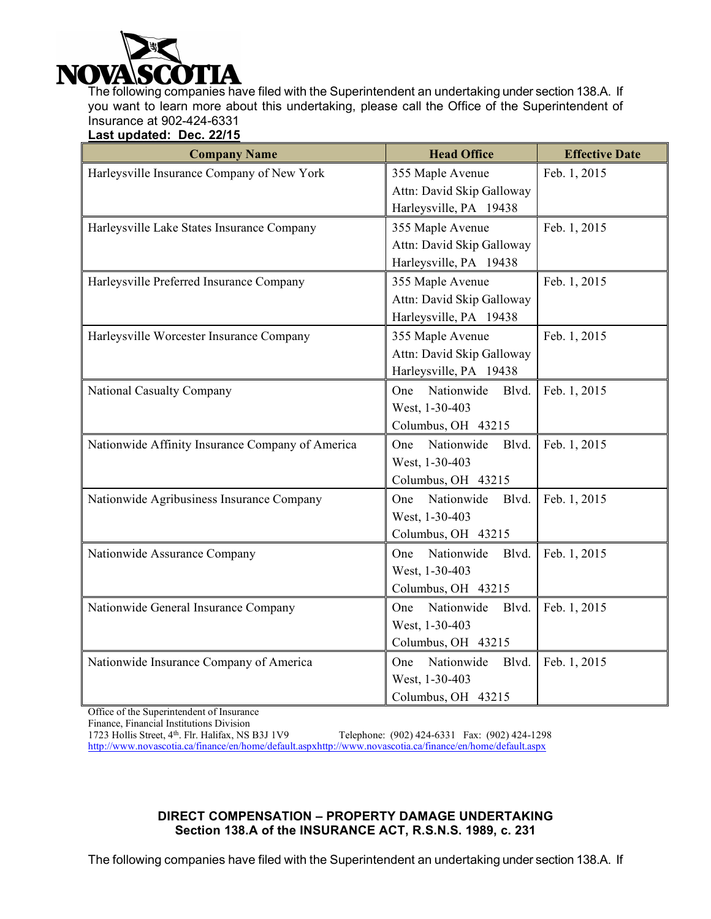

The following companies have filed with the Superintendent an undertaking under section 138.A. If you want to learn more about this undertaking, please call the Office of the Superintendent of Insurance at 902-424-6331

**Last updated: Dec. 22/15**

| <b>Company Name</b>                              | <b>Head Office</b>         | <b>Effective Date</b> |
|--------------------------------------------------|----------------------------|-----------------------|
| Harleysville Insurance Company of New York       | 355 Maple Avenue           | Feb. 1, 2015          |
|                                                  | Attn: David Skip Galloway  |                       |
|                                                  | Harleysville, PA 19438     |                       |
| Harleysville Lake States Insurance Company       | 355 Maple Avenue           | Feb. 1, 2015          |
|                                                  | Attn: David Skip Galloway  |                       |
|                                                  | Harleysville, PA 19438     |                       |
| Harleysville Preferred Insurance Company         | 355 Maple Avenue           | Feb. 1, 2015          |
|                                                  | Attn: David Skip Galloway  |                       |
|                                                  | Harleysville, PA 19438     |                       |
| Harleysville Worcester Insurance Company         | 355 Maple Avenue           | Feb. 1, 2015          |
|                                                  | Attn: David Skip Galloway  |                       |
|                                                  | Harleysville, PA 19438     |                       |
| National Casualty Company                        | Nationwide<br>One<br>Blvd. | Feb. 1, 2015          |
|                                                  | West, 1-30-403             |                       |
|                                                  | Columbus, OH 43215         |                       |
| Nationwide Affinity Insurance Company of America | Nationwide<br>Blvd.<br>One | Feb. 1, 2015          |
|                                                  | West, 1-30-403             |                       |
|                                                  | Columbus, OH 43215         |                       |
| Nationwide Agribusiness Insurance Company        | Nationwide<br>Blvd.<br>One | Feb. 1, 2015          |
|                                                  | West, 1-30-403             |                       |
|                                                  | Columbus, OH 43215         |                       |
| Nationwide Assurance Company                     | Nationwide<br>One<br>Blvd. | Feb. 1, 2015          |
|                                                  | West, 1-30-403             |                       |
|                                                  | Columbus, OH 43215         |                       |
| Nationwide General Insurance Company             | Nationwide<br>Blvd.<br>One | Feb. 1, 2015          |
|                                                  | West, 1-30-403             |                       |
|                                                  | Columbus, OH 43215         |                       |
| Nationwide Insurance Company of America          | Nationwide<br>Blvd.<br>One | Feb. 1, 2015          |
|                                                  | West, 1-30-403             |                       |
|                                                  | Columbus, OH 43215         |                       |

Office of the Superintendent of Insurance

Finance, Financial Institutions Division<br>1723 Hollis Street, 4<sup>th</sup>. Flr. Halifax, NS B3J 1V9

Telephone: (902) 424-6331 Fax: (902) 424-1298 http://www.novascotia.ca/finance/en/home/default.aspxhttp://www.novascotia.ca/finance/en/home/default.aspx

#### **DIRECT COMPENSATION – PROPERTY DAMAGE UNDERTAKING Section 138.A of the INSURANCE ACT, R.S.N.S. 1989, c. 231**

The following companies have filed with the Superintendent an undertaking under section 138.A. If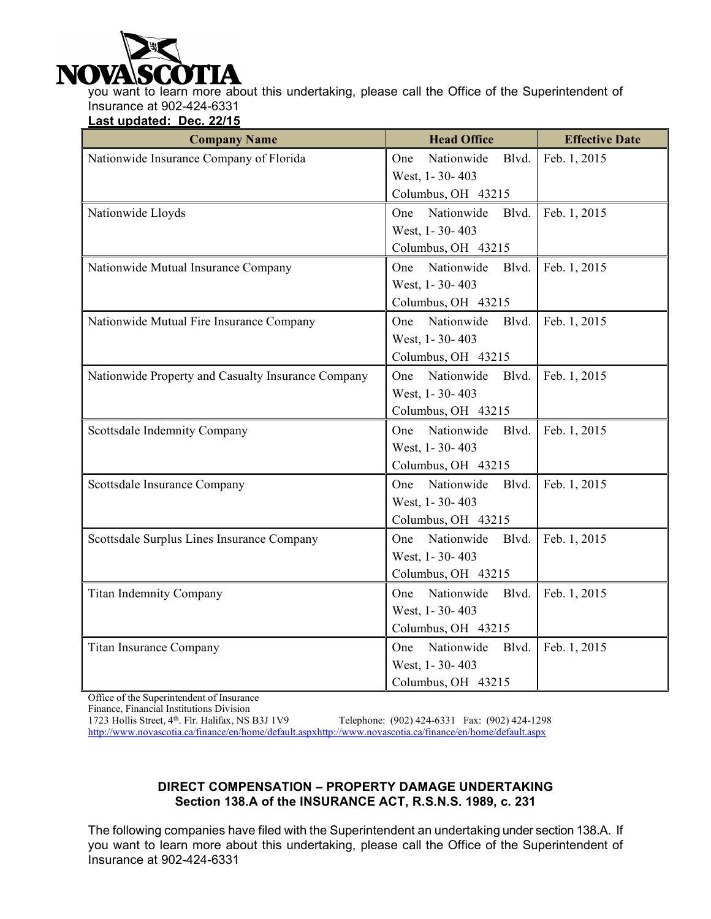

you want to learn more about this undertaking, please call the Office of the Superintendent of Insurance at 902-424-6331

**Last updated: Dec. 22/15**

| <b>Company Name</b>                                | <b>Head Office</b>         | <b>Effective Date</b> |
|----------------------------------------------------|----------------------------|-----------------------|
| Nationwide Insurance Company of Florida            | Nationwide<br>Blvd.<br>One | Feb. 1, 2015          |
|                                                    | West, 1-30-403             |                       |
|                                                    | Columbus, OH 43215         |                       |
| Nationwide Lloyds                                  | Nationwide<br>One<br>Blvd. | Feb. 1, 2015          |
|                                                    | West, 1-30-403             |                       |
|                                                    | Columbus, OH 43215         |                       |
| Nationwide Mutual Insurance Company                | One Nationwide<br>Blvd.    | Feb. 1, 2015          |
|                                                    | West, 1-30-403             |                       |
|                                                    | Columbus, OH 43215         |                       |
| Nationwide Mutual Fire Insurance Company           | Nationwide<br>Blvd.<br>One | Feb. 1, 2015          |
|                                                    | West, 1-30-403             |                       |
|                                                    | Columbus, OH 43215         |                       |
| Nationwide Property and Casualty Insurance Company | Nationwide<br>Blvd.<br>One | Feb. 1, 2015          |
|                                                    | West, 1-30-403             |                       |
|                                                    | Columbus, OH 43215         |                       |
| Scottsdale Indemnity Company                       | Nationwide<br>Blvd.<br>One | Feb. 1, 2015          |
|                                                    | West, 1-30-403             |                       |
|                                                    | Columbus, OH 43215         |                       |
| Scottsdale Insurance Company                       | Nationwide<br>Blvd.<br>One | Feb. 1, 2015          |
|                                                    | West, 1-30-403             |                       |
|                                                    | Columbus, OH 43215         |                       |
| Scottsdale Surplus Lines Insurance Company         | One<br>Nationwide<br>Blvd. | Feb. 1, 2015          |
|                                                    | West, 1-30-403             |                       |
|                                                    | Columbus, OH 43215         |                       |
| <b>Titan Indemnity Company</b>                     | Nationwide<br>One<br>Blvd. | Feb. 1, 2015          |
|                                                    | West, 1-30-403             |                       |
|                                                    | Columbus, OH 43215         |                       |
| Titan Insurance Company                            | Nationwide<br>Blvd.<br>One | Feb. 1, 2015          |
|                                                    | West, 1-30-403             |                       |
|                                                    | Columbus, OH 43215         |                       |

Office of the Superintendent of Insurance

Finance, Financial Institutions Division<br>1723 Hollis Street, 4<sup>th</sup>. Flr. Halifax, NS B3J 1V9

Telephone: (902) 424-6331 Fax: (902) 424-1298 http://www.novascotia.ca/finance/en/home/default.aspxhttp://www.novascotia.ca/finance/en/home/default.aspx

### **DIRECT COMPENSATION – PROPERTY DAMAGE UNDERTAKING Section 138.A of the INSURANCE ACT, R.S.N.S. 1989, c. 231**

The following companies have filed with the Superintendent an undertaking under section 138.A. If you want to learn more about this undertaking, please call the Office of the Superintendent of Insurance at 902-424-6331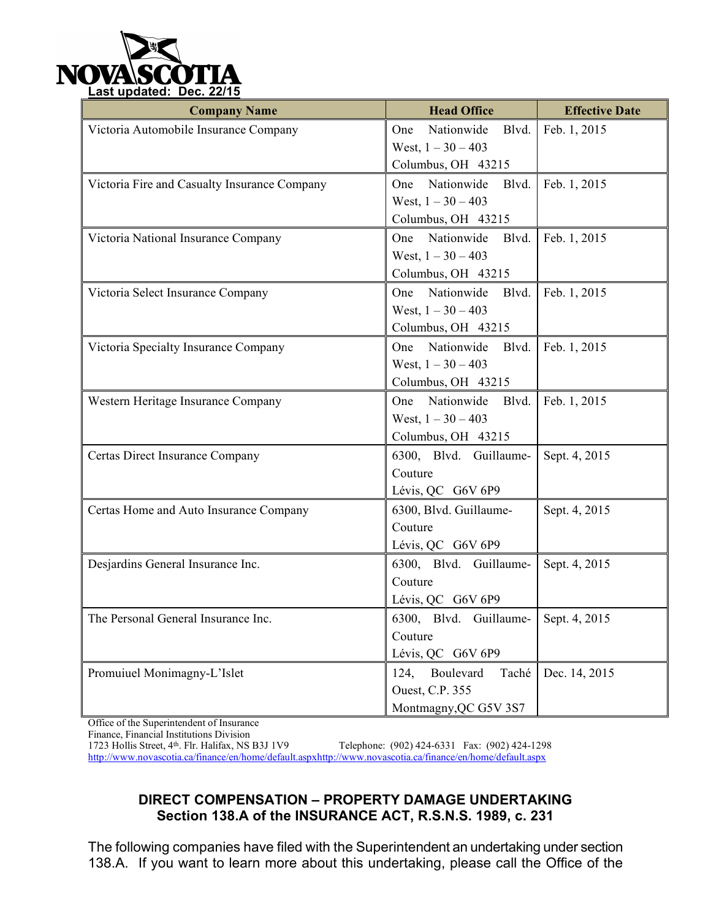

| <b>Company Name</b>                          | <b>Head Office</b>                   | <b>Effective Date</b> |
|----------------------------------------------|--------------------------------------|-----------------------|
| Victoria Automobile Insurance Company        | Nationwide<br>Blvd.<br>One           | Feb. 1, 2015          |
|                                              | West, $1 - 30 - 403$                 |                       |
|                                              | Columbus, OH 43215                   |                       |
| Victoria Fire and Casualty Insurance Company | One Nationwide<br>Blvd.              | Feb. 1, 2015          |
|                                              | West, $1 - 30 - 403$                 |                       |
|                                              | Columbus, OH 43215                   |                       |
| Victoria National Insurance Company          | One Nationwide<br>Blvd.              | Feb. 1, 2015          |
|                                              | West, $1 - 30 - 403$                 |                       |
|                                              | Columbus, OH 43215                   |                       |
| Victoria Select Insurance Company            | One Nationwide<br>Blvd.              | Feb. 1, 2015          |
|                                              | West, $1 - 30 - 403$                 |                       |
|                                              | Columbus, OH 43215                   |                       |
| Victoria Specialty Insurance Company         | One Nationwide<br>Blvd.              | Feb. 1, 2015          |
|                                              | West, $1 - 30 - 403$                 |                       |
|                                              | Columbus, OH 43215                   |                       |
| Western Heritage Insurance Company           | Blvd.<br>Nationwide<br>One           | Feb. 1, 2015          |
|                                              | West, $1 - 30 - 403$                 |                       |
|                                              | Columbus, OH 43215                   |                       |
| Certas Direct Insurance Company              | 6300, Blvd. Guillaume-               | Sept. 4, 2015         |
|                                              | Couture                              |                       |
|                                              | Lévis, QC G6V 6P9                    |                       |
| Certas Home and Auto Insurance Company       | 6300, Blvd. Guillaume-               | Sept. 4, 2015         |
|                                              | Couture                              |                       |
|                                              | Lévis, QC G6V 6P9                    |                       |
| Desjardins General Insurance Inc.            | 6300, Blvd. Guillaume-               | Sept. 4, 2015         |
|                                              | Couture                              |                       |
|                                              | Lévis, QC G6V 6P9                    |                       |
| The Personal General Insurance Inc.          | 6300, Blvd. Guillaume- Sept. 4, 2015 |                       |
|                                              | Couture                              |                       |
|                                              | Lévis, QC G6V 6P9                    |                       |
| Promuiuel Monimagny-L'Islet                  | Taché<br>124,<br>Boulevard           | Dec. 14, 2015         |
|                                              | Ouest, C.P. 355                      |                       |
|                                              | Montmagny, QC G5V 3S7                |                       |

Office of the Superintendent of Insurance

Finance, Financial Institutions Division<br>1723 Hollis Street, 4<sup>th</sup>. Flr. Halifax, NS B3J 1V9

Telephone: (902) 424-6331 Fax: (902) 424-1298 http://www.novascotia.ca/finance/en/home/default.aspxhttp://www.novascotia.ca/finance/en/home/default.aspx

# **DIRECT COMPENSATION – PROPERTY DAMAGE UNDERTAKING Section 138.A of the INSURANCE ACT, R.S.N.S. 1989, c. 231**

The following companies have filed with the Superintendent an undertaking under section 138.A. If you want to learn more about this undertaking, please call the Office of the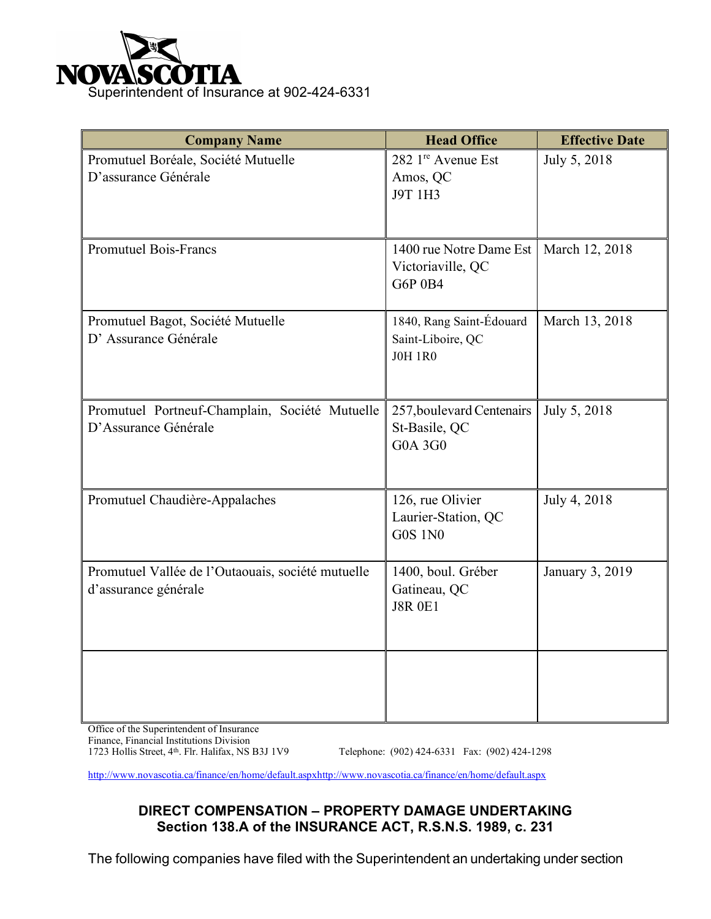

| <b>Company Name</b>                                                       | <b>Head Office</b>                                              | <b>Effective Date</b> |
|---------------------------------------------------------------------------|-----------------------------------------------------------------|-----------------------|
| Promutuel Boréale, Société Mutuelle<br>D'assurance Générale               | 282 1 <sup>re</sup> Avenue Est<br>Amos, QC<br>J9T 1H3           | July 5, 2018          |
| <b>Promutuel Bois-Francs</b>                                              | 1400 rue Notre Dame Est<br>Victoriaville, QC<br><b>G6P 0B4</b>  | March 12, 2018        |
| Promutuel Bagot, Société Mutuelle<br>D'Assurance Générale                 | 1840, Rang Saint-Édouard<br>Saint-Liboire, QC<br><b>JOH 1R0</b> | March 13, 2018        |
| Promutuel Portneuf-Champlain, Société Mutuelle<br>D'Assurance Générale    | 257, boulevard Centenairs<br>St-Basile, QC<br><b>G0A 3G0</b>    | July 5, 2018          |
| Promutuel Chaudière-Appalaches                                            | 126, rue Olivier<br>Laurier-Station, QC<br><b>G0S 1N0</b>       | July 4, 2018          |
| Promutuel Vallée de l'Outaouais, société mutuelle<br>d'assurance générale | 1400, boul. Gréber<br>Gatineau, QC<br><b>J8R 0E1</b>            | January 3, 2019       |
|                                                                           |                                                                 |                       |

Office of the Superintendent of Insurance Finance, Financial Institutions Division<br>1723 Hollis Street, 4<sup>th</sup>. Flr. Halifax, NS B3J 1V9

Telephone: (902) 424-6331 Fax: (902) 424-1298

http://www.novascotia.ca/finance/en/home/default.aspxhttp://www.novascotia.ca/finance/en/home/default.aspx

# **DIRECT COMPENSATION – PROPERTY DAMAGE UNDERTAKING Section 138.A of the INSURANCE ACT, R.S.N.S. 1989, c. 231**

The following companies have filed with the Superintendent an undertaking under section